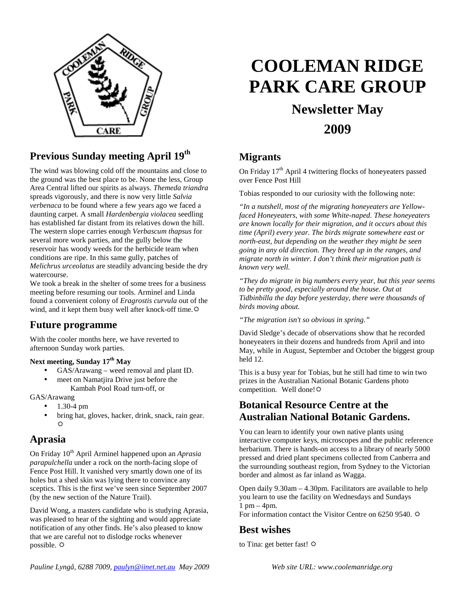

#### **Previous Sunday meeting April 19th**

The wind was blowing cold off the mountains and close to the ground was the best place to be. None the less, Group Area Central lifted our spirits as always. *Themeda triandra* spreads vigorously, and there is now very little *Salvia verbenaca* to be found where a few years ago we faced a daunting carpet. A small *Hardenbergia violacea* seedling has established far distant from its relatives down the hill. The western slope carries enough *Verbascum thapsus* for several more work parties, and the gully below the reservoir has woody weeds for the herbicide team when conditions are ripe. In this same gully, patches of *Melichrus urceolatus* are steadily advancing beside the dry watercourse.

We took a break in the shelter of some trees for a business meeting before resuming our tools. Arminel and Linda found a convenient colony of *Eragrostis curvula* out of the wind, and it kept them busy well after knock-off time. $\ddot{\varphi}$ 

#### **Future programme**

With the cooler months here, we have reverted to afternoon Sunday work parties.

#### **Next meeting, Sunday 17th May**

- GAS/Arawang weed removal and plant ID.
- meet on Namatjira Drive just before the
	- Kambah Pool Road turn-off, or

GAS/Arawang

- 1.30-4 pm
- bring hat, gloves, hacker, drink, snack, rain gear.  $\uparrow$

#### **Aprasia**

On Friday 10th April Arminel happened upon an *Aprasia parapulchella* under a rock on the north-facing slope of Fence Post Hill. It vanished very smartly down one of its holes but a shed skin was lying there to convince any sceptics. This is the first we've seen since September 2007 (by the new section of the Nature Trail).

David Wong, a masters candidate who is studying Aprasia, was pleased to hear of the sighting and would appreciate notification of any other finds. He's also pleased to know that we are careful not to dislodge rocks whenever possible.  $\Leftrightarrow$ 

# **COOLEMAN RIDGE PARK CARE GROUP**

## **Newsletter May 2009**

#### **Migrants**

On Friday  $17<sup>th</sup>$  April 4 twittering flocks of honeyeaters passed over Fence Post Hill

Tobias responded to our curiosity with the following note:

*"In a nutshell, most of the migrating honeyeaters are Yellowfaced Honeyeaters, with some White-naped. These honeyeaters are known locally for their migration, and it occurs about this time (April) every year. The birds migrate somewhere east or north-east, but depending on the weather they might be seen going in any old direction. They breed up in the ranges, and migrate north in winter. I don't think their migration path is known very well.* 

*"They do migrate in big numbers every year, but this year seems to be pretty good, especially around the house. Out at Tidbinbilla the day before yesterday, there were thousands of birds moving about.* 

*"The migration isn't so obvious in spring."* 

David Sledge's decade of observations show that he recorded honeyeaters in their dozens and hundreds from April and into May, while in August, September and October the biggest group held 12.

This is a busy year for Tobias, but he still had time to win two prizes in the Australian National Botanic Gardens photo competition. Well done!

#### **Botanical Resource Centre at the Australian National Botanic Gardens.**

You can learn to identify your own native plants using interactive computer keys, microscopes and the public reference herbarium. There is hands-on access to a library of nearly 5000 pressed and dried plant specimens collected from Canberra and the surrounding southeast region, from Sydney to the Victorian border and almost as far inland as Wagga.

Open daily 9.30am – 4.30pm. Facilitators are available to help you learn to use the facility on Wednesdays and Sundays  $1$  pm  $-$  4pm.

For information contact the Visitor Centre on 6250 9540.

#### **Best wishes**

to Tina: get better fast!